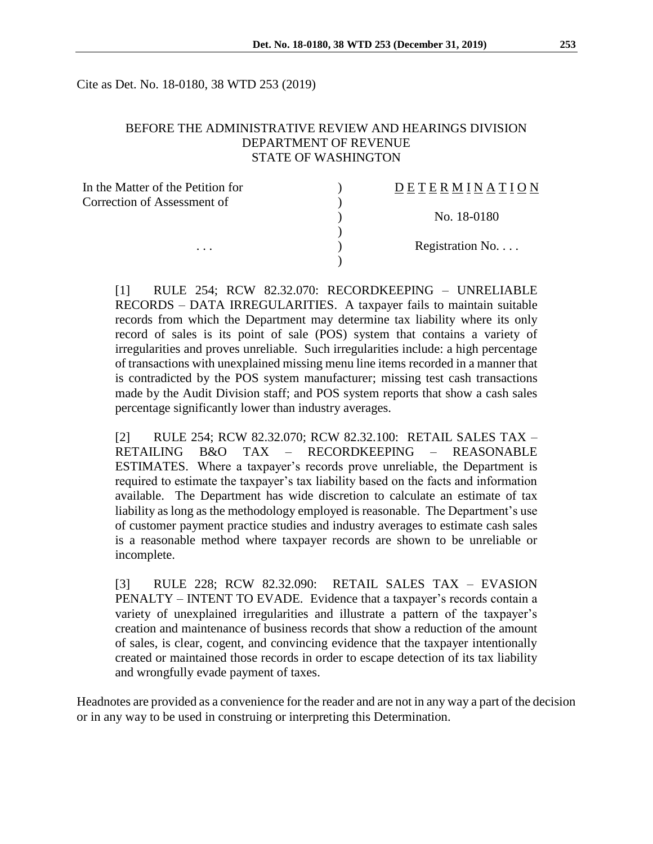Cite as Det. No. 18-0180, 38 WTD 253 (2019)

### BEFORE THE ADMINISTRATIVE REVIEW AND HEARINGS DIVISION DEPARTMENT OF REVENUE STATE OF WASHINGTON

| In the Matter of the Petition for | DETERMINATION   |
|-----------------------------------|-----------------|
| Correction of Assessment of       |                 |
|                                   | No. 18-0180     |
|                                   |                 |
| $\cdots$                          | Registration No |
|                                   |                 |

[1] RULE 254; RCW 82.32.070: RECORDKEEPING – UNRELIABLE RECORDS – DATA IRREGULARITIES. A taxpayer fails to maintain suitable records from which the Department may determine tax liability where its only record of sales is its point of sale (POS) system that contains a variety of irregularities and proves unreliable. Such irregularities include: a high percentage of transactions with unexplained missing menu line items recorded in a manner that is contradicted by the POS system manufacturer; missing test cash transactions made by the Audit Division staff; and POS system reports that show a cash sales percentage significantly lower than industry averages.

[2] RULE 254; RCW 82.32.070; RCW 82.32.100: RETAIL SALES TAX – RETAILING B&O TAX – RECORDKEEPING – REASONABLE ESTIMATES. Where a taxpayer's records prove unreliable, the Department is required to estimate the taxpayer's tax liability based on the facts and information available. The Department has wide discretion to calculate an estimate of tax liability as long as the methodology employed is reasonable. The Department's use of customer payment practice studies and industry averages to estimate cash sales is a reasonable method where taxpayer records are shown to be unreliable or incomplete.

[3] RULE 228; RCW 82.32.090: RETAIL SALES TAX – EVASION PENALTY – INTENT TO EVADE. Evidence that a taxpayer's records contain a variety of unexplained irregularities and illustrate a pattern of the taxpayer's creation and maintenance of business records that show a reduction of the amount of sales, is clear, cogent, and convincing evidence that the taxpayer intentionally created or maintained those records in order to escape detection of its tax liability and wrongfully evade payment of taxes.

Headnotes are provided as a convenience for the reader and are not in any way a part of the decision or in any way to be used in construing or interpreting this Determination.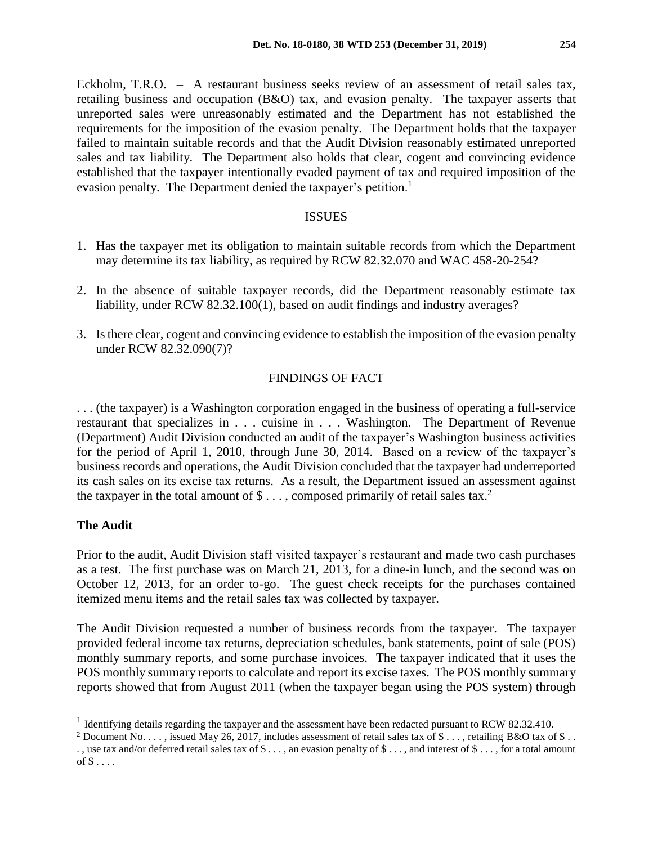Eckholm, T.R.O. – A restaurant business seeks review of an assessment of retail sales tax, retailing business and occupation (B&O) tax, and evasion penalty. The taxpayer asserts that unreported sales were unreasonably estimated and the Department has not established the requirements for the imposition of the evasion penalty. The Department holds that the taxpayer failed to maintain suitable records and that the Audit Division reasonably estimated unreported sales and tax liability. The Department also holds that clear, cogent and convincing evidence established that the taxpayer intentionally evaded payment of tax and required imposition of the evasion penalty. The Department denied the taxpayer's petition.<sup>1</sup>

## ISSUES

- 1. Has the taxpayer met its obligation to maintain suitable records from which the Department may determine its tax liability, as required by RCW 82.32.070 and WAC 458-20-254?
- 2. In the absence of suitable taxpayer records, did the Department reasonably estimate tax liability, under RCW 82.32.100(1), based on audit findings and industry averages?
- 3. Is there clear, cogent and convincing evidence to establish the imposition of the evasion penalty under RCW 82.32.090(7)?

# FINDINGS OF FACT

. . . (the taxpayer) is a Washington corporation engaged in the business of operating a full-service restaurant that specializes in . . . cuisine in . . . Washington. The Department of Revenue (Department) Audit Division conducted an audit of the taxpayer's Washington business activities for the period of April 1, 2010, through June 30, 2014. Based on a review of the taxpayer's business records and operations, the Audit Division concluded that the taxpayer had underreported its cash sales on its excise tax returns. As a result, the Department issued an assessment against the taxpayer in the total amount of  $\$\dots$ , composed primarily of retail sales tax.<sup>2</sup>

## **The Audit**

 $\overline{a}$ 

Prior to the audit, Audit Division staff visited taxpayer's restaurant and made two cash purchases as a test. The first purchase was on March 21, 2013, for a dine-in lunch, and the second was on October 12, 2013, for an order to-go. The guest check receipts for the purchases contained itemized menu items and the retail sales tax was collected by taxpayer.

The Audit Division requested a number of business records from the taxpayer. The taxpayer provided federal income tax returns, depreciation schedules, bank statements, point of sale (POS) monthly summary reports, and some purchase invoices. The taxpayer indicated that it uses the POS monthly summary reports to calculate and report its excise taxes. The POS monthly summary reports showed that from August 2011 (when the taxpayer began using the POS system) through

<sup>&</sup>lt;sup>1</sup> Identifying details regarding the taxpayer and the assessment have been redacted pursuant to RCW 82.32.410.

<sup>&</sup>lt;sup>2</sup> Document No. . . . , issued May 26, 2017, includes assessment of retail sales tax of \$ . . . , retailing B&O tax of \$ . .

<sup>. ,</sup> use tax and/or deferred retail sales tax of \$ . . . , an evasion penalty of \$ . . . , and interest of \$ . . . , for a total amount of  $\$\ldots$ .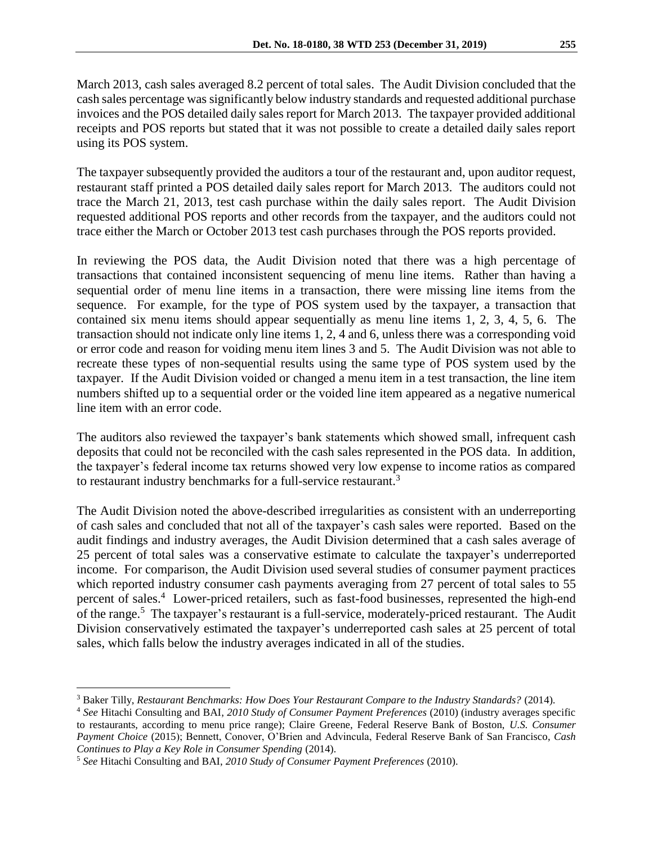March 2013, cash sales averaged 8.2 percent of total sales. The Audit Division concluded that the cash sales percentage was significantly below industry standards and requested additional purchase invoices and the POS detailed daily sales report for March 2013. The taxpayer provided additional receipts and POS reports but stated that it was not possible to create a detailed daily sales report using its POS system.

The taxpayer subsequently provided the auditors a tour of the restaurant and, upon auditor request, restaurant staff printed a POS detailed daily sales report for March 2013. The auditors could not trace the March 21, 2013, test cash purchase within the daily sales report. The Audit Division requested additional POS reports and other records from the taxpayer, and the auditors could not trace either the March or October 2013 test cash purchases through the POS reports provided.

In reviewing the POS data, the Audit Division noted that there was a high percentage of transactions that contained inconsistent sequencing of menu line items. Rather than having a sequential order of menu line items in a transaction, there were missing line items from the sequence. For example, for the type of POS system used by the taxpayer, a transaction that contained six menu items should appear sequentially as menu line items 1, 2, 3, 4, 5, 6. The transaction should not indicate only line items 1, 2, 4 and 6, unless there was a corresponding void or error code and reason for voiding menu item lines 3 and 5. The Audit Division was not able to recreate these types of non-sequential results using the same type of POS system used by the taxpayer. If the Audit Division voided or changed a menu item in a test transaction, the line item numbers shifted up to a sequential order or the voided line item appeared as a negative numerical line item with an error code.

The auditors also reviewed the taxpayer's bank statements which showed small, infrequent cash deposits that could not be reconciled with the cash sales represented in the POS data. In addition, the taxpayer's federal income tax returns showed very low expense to income ratios as compared to restaurant industry benchmarks for a full-service restaurant.<sup>3</sup>

The Audit Division noted the above-described irregularities as consistent with an underreporting of cash sales and concluded that not all of the taxpayer's cash sales were reported. Based on the audit findings and industry averages, the Audit Division determined that a cash sales average of 25 percent of total sales was a conservative estimate to calculate the taxpayer's underreported income. For comparison, the Audit Division used several studies of consumer payment practices which reported industry consumer cash payments averaging from 27 percent of total sales to 55 percent of sales. 4 Lower-priced retailers, such as fast-food businesses, represented the high-end of the range.<sup>5</sup> The taxpayer's restaurant is a full-service, moderately-priced restaurant. The Audit Division conservatively estimated the taxpayer's underreported cash sales at 25 percent of total sales, which falls below the industry averages indicated in all of the studies.

 $\overline{a}$ <sup>3</sup> Baker Tilly, *Restaurant Benchmarks: How Does Your Restaurant Compare to the Industry Standards?* (2014).

<sup>4</sup> *See* Hitachi Consulting and BAI, *2010 Study of Consumer Payment Preferences* (2010) (industry averages specific to restaurants, according to menu price range); Claire Greene, Federal Reserve Bank of Boston, *U.S. Consumer Payment Choice* (2015); Bennett, Conover, O'Brien and Advincula, Federal Reserve Bank of San Francisco, *Cash Continues to Play a Key Role in Consumer Spending* (2014).

<sup>5</sup> *See* Hitachi Consulting and BAI, *2010 Study of Consumer Payment Preferences* (2010).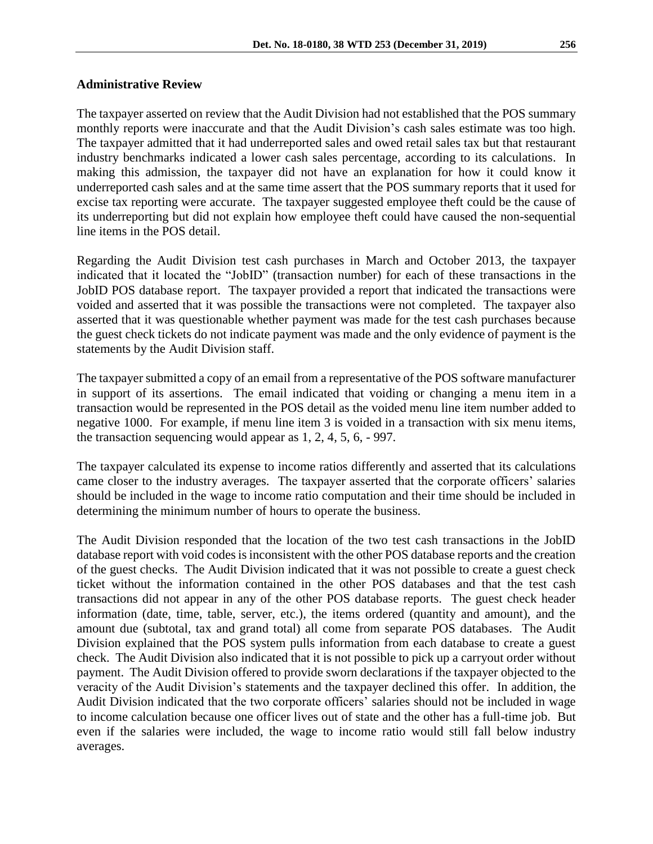#### **Administrative Review**

The taxpayer asserted on review that the Audit Division had not established that the POS summary monthly reports were inaccurate and that the Audit Division's cash sales estimate was too high. The taxpayer admitted that it had underreported sales and owed retail sales tax but that restaurant industry benchmarks indicated a lower cash sales percentage, according to its calculations. In making this admission, the taxpayer did not have an explanation for how it could know it underreported cash sales and at the same time assert that the POS summary reports that it used for excise tax reporting were accurate. The taxpayer suggested employee theft could be the cause of its underreporting but did not explain how employee theft could have caused the non-sequential line items in the POS detail.

Regarding the Audit Division test cash purchases in March and October 2013, the taxpayer indicated that it located the "JobID" (transaction number) for each of these transactions in the JobID POS database report. The taxpayer provided a report that indicated the transactions were voided and asserted that it was possible the transactions were not completed. The taxpayer also asserted that it was questionable whether payment was made for the test cash purchases because the guest check tickets do not indicate payment was made and the only evidence of payment is the statements by the Audit Division staff.

The taxpayer submitted a copy of an email from a representative of the POS software manufacturer in support of its assertions. The email indicated that voiding or changing a menu item in a transaction would be represented in the POS detail as the voided menu line item number added to negative 1000. For example, if menu line item 3 is voided in a transaction with six menu items, the transaction sequencing would appear as 1, 2, 4, 5, 6, - 997.

The taxpayer calculated its expense to income ratios differently and asserted that its calculations came closer to the industry averages. The taxpayer asserted that the corporate officers' salaries should be included in the wage to income ratio computation and their time should be included in determining the minimum number of hours to operate the business.

The Audit Division responded that the location of the two test cash transactions in the JobID database report with void codes is inconsistent with the other POS database reports and the creation of the guest checks. The Audit Division indicated that it was not possible to create a guest check ticket without the information contained in the other POS databases and that the test cash transactions did not appear in any of the other POS database reports. The guest check header information (date, time, table, server, etc.), the items ordered (quantity and amount), and the amount due (subtotal, tax and grand total) all come from separate POS databases. The Audit Division explained that the POS system pulls information from each database to create a guest check. The Audit Division also indicated that it is not possible to pick up a carryout order without payment. The Audit Division offered to provide sworn declarations if the taxpayer objected to the veracity of the Audit Division's statements and the taxpayer declined this offer. In addition, the Audit Division indicated that the two corporate officers' salaries should not be included in wage to income calculation because one officer lives out of state and the other has a full-time job. But even if the salaries were included, the wage to income ratio would still fall below industry averages.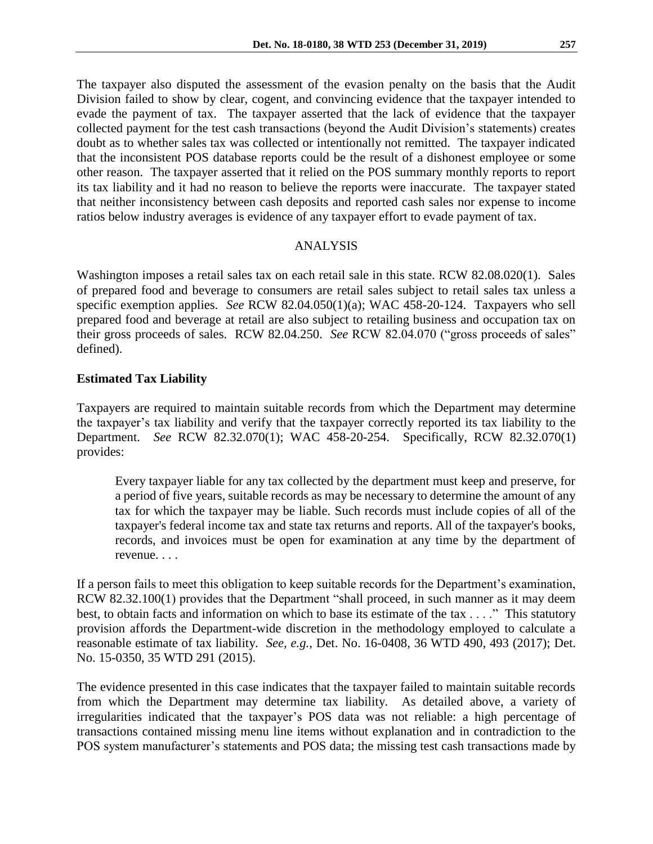The taxpayer also disputed the assessment of the evasion penalty on the basis that the Audit Division failed to show by clear, cogent, and convincing evidence that the taxpayer intended to evade the payment of tax. The taxpayer asserted that the lack of evidence that the taxpayer collected payment for the test cash transactions (beyond the Audit Division's statements) creates doubt as to whether sales tax was collected or intentionally not remitted. The taxpayer indicated that the inconsistent POS database reports could be the result of a dishonest employee or some other reason. The taxpayer asserted that it relied on the POS summary monthly reports to report its tax liability and it had no reason to believe the reports were inaccurate. The taxpayer stated that neither inconsistency between cash deposits and reported cash sales nor expense to income ratios below industry averages is evidence of any taxpayer effort to evade payment of tax.

## ANALYSIS

Washington imposes a retail sales tax on each retail sale in this state. RCW 82.08.020(1). Sales of prepared food and beverage to consumers are retail sales subject to retail sales tax unless a specific exemption applies. *See* RCW 82.04.050(1)(a); WAC 458-20-124. Taxpayers who sell prepared food and beverage at retail are also subject to retailing business and occupation tax on their gross proceeds of sales. RCW 82.04.250. *See* RCW 82.04.070 ("gross proceeds of sales" defined).

## **Estimated Tax Liability**

Taxpayers are required to maintain suitable records from which the Department may determine the taxpayer's tax liability and verify that the taxpayer correctly reported its tax liability to the Department. *See* RCW 82.32.070(1); WAC 458-20-254. Specifically, RCW 82.32.070(1) provides:

Every taxpayer liable for any tax collected by the department must keep and preserve, for a period of five years, suitable records as may be necessary to determine the amount of any tax for which the taxpayer may be liable. Such records must include copies of all of the taxpayer's federal income tax and state tax returns and reports. All of the taxpayer's books, records, and invoices must be open for examination at any time by the department of revenue. . . .

If a person fails to meet this obligation to keep suitable records for the Department's examination, RCW 82.32.100(1) provides that the Department "shall proceed, in such manner as it may deem best, to obtain facts and information on which to base its estimate of the tax . . . ." This statutory provision affords the Department-wide discretion in the methodology employed to calculate a reasonable estimate of tax liability. *See, e.g.*, Det. No. 16-0408, 36 WTD 490, 493 (2017); Det. No. 15-0350, 35 WTD 291 (2015).

The evidence presented in this case indicates that the taxpayer failed to maintain suitable records from which the Department may determine tax liability. As detailed above, a variety of irregularities indicated that the taxpayer's POS data was not reliable: a high percentage of transactions contained missing menu line items without explanation and in contradiction to the POS system manufacturer's statements and POS data; the missing test cash transactions made by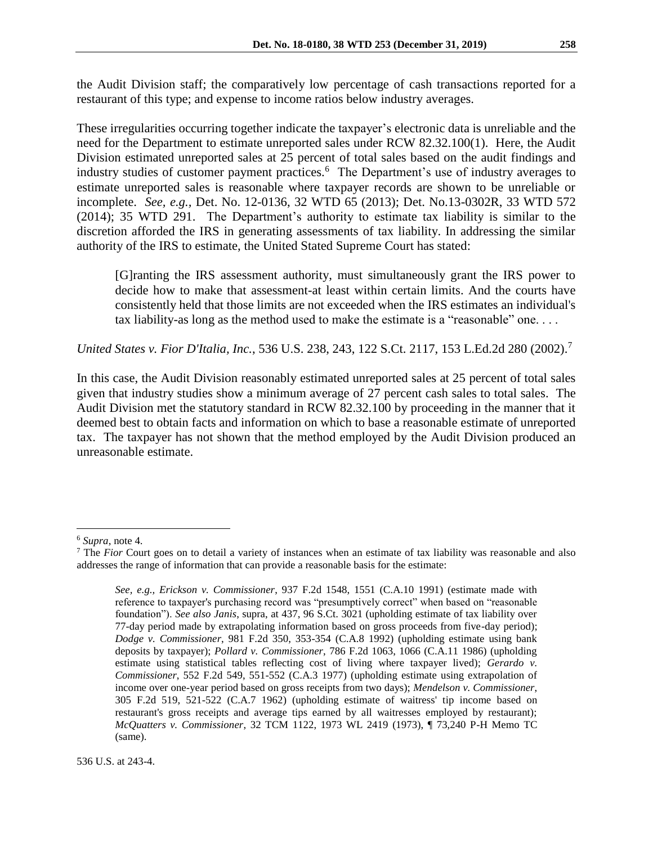These irregularities occurring together indicate the taxpayer's electronic data is unreliable and the need for the Department to estimate unreported sales under RCW 82.32.100(1). Here, the Audit Division estimated unreported sales at 25 percent of total sales based on the audit findings and industry studies of customer payment practices.<sup>6</sup> The Department's use of industry averages to estimate unreported sales is reasonable where taxpayer records are shown to be unreliable or incomplete. *See, e.g.,* Det. No. 12-0136, 32 WTD 65 (2013); Det. No.13-0302R, 33 WTD 572 (2014); 35 WTD 291. The Department's authority to estimate tax liability is similar to the discretion afforded the IRS in generating assessments of tax liability. In addressing the similar authority of the IRS to estimate, the United Stated Supreme Court has stated:

[G]ranting the IRS assessment authority, must simultaneously grant the IRS power to decide how to make that assessment-at least within certain limits. And the courts have consistently held that those limits are not exceeded when the IRS estimates an individual's tax liability-as long as the method used to make the estimate is a "reasonable" one. . . .

*United States v. Fior D'Italia, Inc.*, 536 U.S. 238, 243, 122 S.Ct. 2117, 153 L.Ed.2d 280 (2002).<sup>7</sup>

In this case, the Audit Division reasonably estimated unreported sales at 25 percent of total sales given that industry studies show a minimum average of 27 percent cash sales to total sales. The Audit Division met the statutory standard in RCW 82.32.100 by proceeding in the manner that it deemed best to obtain facts and information on which to base a reasonable estimate of unreported tax. The taxpayer has not shown that the method employed by the Audit Division produced an unreasonable estimate.

 $\overline{a}$ 

<sup>6</sup> *Supra*, note 4.

<sup>7</sup> The *Fior* Court goes on to detail a variety of instances when an estimate of tax liability was reasonable and also addresses the range of information that can provide a reasonable basis for the estimate:

*See, e.g., Erickson v. Commissioner*, 937 F.2d 1548, 1551 (C.A.10 1991) (estimate made with reference to taxpayer's purchasing record was "presumptively correct" when based on "reasonable foundation"). *See also Janis*, supra, at 437, 96 S.Ct. 3021 (upholding estimate of tax liability over 77-day period made by extrapolating information based on gross proceeds from five-day period); *Dodge v. Commissioner*, 981 F.2d 350, 353-354 (C.A.8 1992) (upholding estimate using bank deposits by taxpayer); *Pollard v. Commissioner*, 786 F.2d 1063, 1066 (C.A.11 1986) (upholding estimate using statistical tables reflecting cost of living where taxpayer lived); *Gerardo v. Commissioner*, 552 F.2d 549, 551-552 (C.A.3 1977) (upholding estimate using extrapolation of income over one-year period based on gross receipts from two days); *Mendelson v. Commissioner*, 305 F.2d 519, 521-522 (C.A.7 1962) (upholding estimate of waitress' tip income based on restaurant's gross receipts and average tips earned by all waitresses employed by restaurant); *McQuatters v. Commissioner*, 32 TCM 1122, 1973 WL 2419 (1973), ¶ 73,240 P-H Memo TC (same).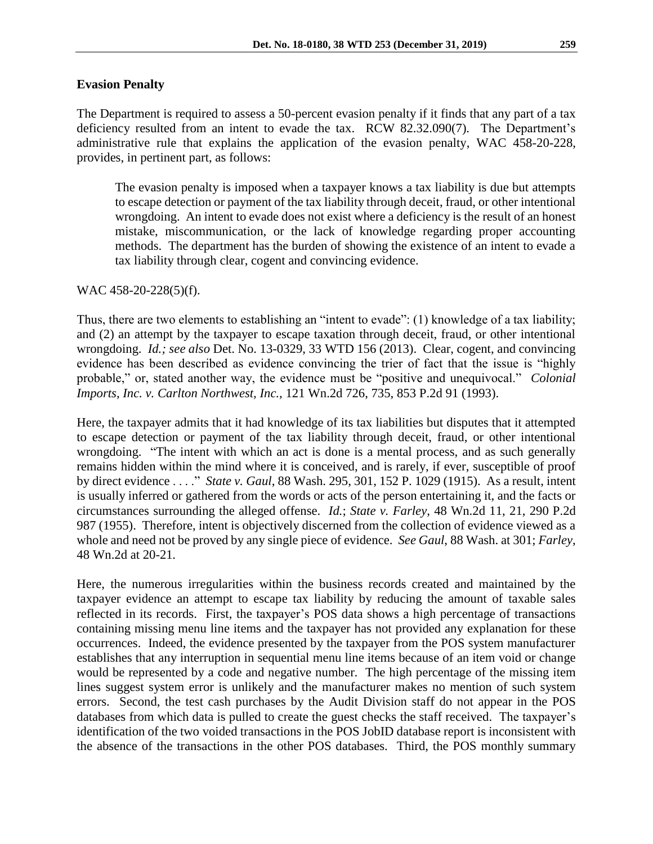The Department is required to assess a 50-percent evasion penalty if it finds that any part of a tax deficiency resulted from an intent to evade the tax. RCW 82.32.090(7). The Department's administrative rule that explains the application of the evasion penalty, WAC 458-20-228, provides, in pertinent part, as follows:

The evasion penalty is imposed when a taxpayer knows a tax liability is due but attempts to escape detection or payment of the tax liability through deceit, fraud, or other intentional wrongdoing. An intent to evade does not exist where a deficiency is the result of an honest mistake, miscommunication, or the lack of knowledge regarding proper accounting methods. The department has the burden of showing the existence of an intent to evade a tax liability through clear, cogent and convincing evidence.

### WAC 458-20-228(5)(f).

Thus, there are two elements to establishing an "intent to evade": (1) knowledge of a tax liability; and (2) an attempt by the taxpayer to escape taxation through deceit, fraud, or other intentional wrongdoing. *Id.; see also* Det. No. 13-0329, 33 WTD 156 (2013). Clear, cogent, and convincing evidence has been described as evidence convincing the trier of fact that the issue is "highly probable," or, stated another way, the evidence must be "positive and unequivocal." *Colonial Imports, Inc. v. Carlton Northwest, Inc.,* 121 Wn.2d 726, 735, 853 P.2d 91 (1993).

Here, the taxpayer admits that it had knowledge of its tax liabilities but disputes that it attempted to escape detection or payment of the tax liability through deceit, fraud, or other intentional wrongdoing. "The intent with which an act is done is a mental process, and as such generally remains hidden within the mind where it is conceived, and is rarely, if ever, susceptible of proof by direct evidence . . . ." *State v. Gaul*, 88 Wash. 295, 301, 152 P. 1029 (1915). As a result, intent is usually inferred or gathered from the words or acts of the person entertaining it, and the facts or circumstances surrounding the alleged offense. *Id.*; *State v. Farley*, 48 Wn.2d 11, 21, 290 P.2d 987 (1955). Therefore, intent is objectively discerned from the collection of evidence viewed as a whole and need not be proved by any single piece of evidence. *See Gaul*, 88 Wash. at 301; *Farley*, 48 Wn.2d at 20-21*.*

Here, the numerous irregularities within the business records created and maintained by the taxpayer evidence an attempt to escape tax liability by reducing the amount of taxable sales reflected in its records. First, the taxpayer's POS data shows a high percentage of transactions containing missing menu line items and the taxpayer has not provided any explanation for these occurrences. Indeed, the evidence presented by the taxpayer from the POS system manufacturer establishes that any interruption in sequential menu line items because of an item void or change would be represented by a code and negative number. The high percentage of the missing item lines suggest system error is unlikely and the manufacturer makes no mention of such system errors. Second, the test cash purchases by the Audit Division staff do not appear in the POS databases from which data is pulled to create the guest checks the staff received. The taxpayer's identification of the two voided transactions in the POS JobID database report is inconsistent with the absence of the transactions in the other POS databases. Third, the POS monthly summary